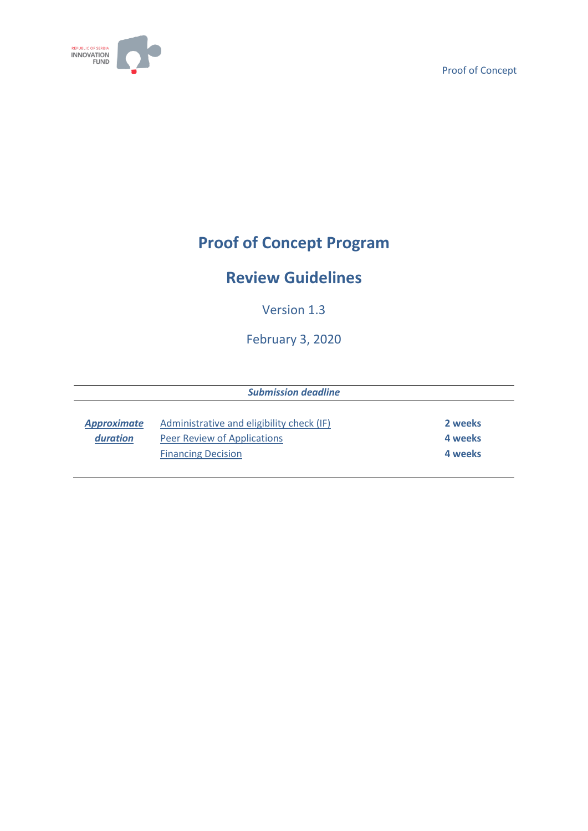

# **Proof of Concept Program**

# **Review Guidelines**

Version 1.3

February 3, 2020

| 2 weeks |
|---------|
| 4 weeks |
| 4 weeks |
|         |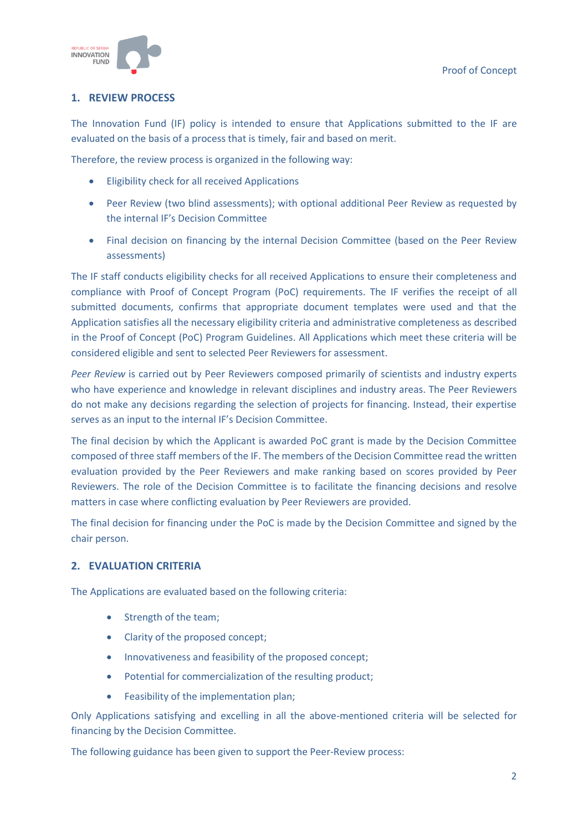

# **1. REVIEW PROCESS**

The Innovation Fund (IF) policy is intended to ensure that Applications submitted to the IF are evaluated on the basis of a process that is timely, fair and based on merit.

Therefore, the review process is organized in the following way:

- Eligibility check for all received Applications
- Peer Review (two blind assessments); with optional additional Peer Review as requested by the internal IF's Decision Committee
- Final decision on financing by the internal Decision Committee (based on the Peer Review assessments)

The IF staff conducts eligibility checks for all received Applications to ensure their completeness and compliance with Proof of Concept Program (PoC) requirements. The IF verifies the receipt of all submitted documents, confirms that appropriate document templates were used and that the Application satisfies all the necessary eligibility criteria and administrative completeness as described in the Proof of Concept (PoC) Program Guidelines. All Applications which meet these criteria will be considered eligible and sent to selected Peer Reviewers for assessment.

*Peer Review* is carried out by Peer Reviewers composed primarily of scientists and industry experts who have experience and knowledge in relevant disciplines and industry areas. The Peer Reviewers do not make any decisions regarding the selection of projects for financing. Instead, their expertise serves as an input to the internal IF's Decision Committee.

The final decision by which the Applicant is awarded PoC grant is made by the Decision Committee composed of three staff members of the IF. The members of the Decision Committee read the written evaluation provided by the Peer Reviewers and make ranking based on scores provided by Peer Reviewers. The role of the Decision Committee is to facilitate the financing decisions and resolve matters in case where conflicting evaluation by Peer Reviewers are provided.

The final decision for financing under the PoC is made by the Decision Committee and signed by the chair person.

# **2. EVALUATION CRITERIA**

The Applications are evaluated based on the following criteria:

- Strength of the team;
- Clarity of the proposed concept;
- Innovativeness and feasibility of the proposed concept;
- Potential for commercialization of the resulting product;
- Feasibility of the implementation plan;

Only Applications satisfying and excelling in all the above-mentioned criteria will be selected for financing by the Decision Committee.

The following guidance has been given to support the Peer-Review process: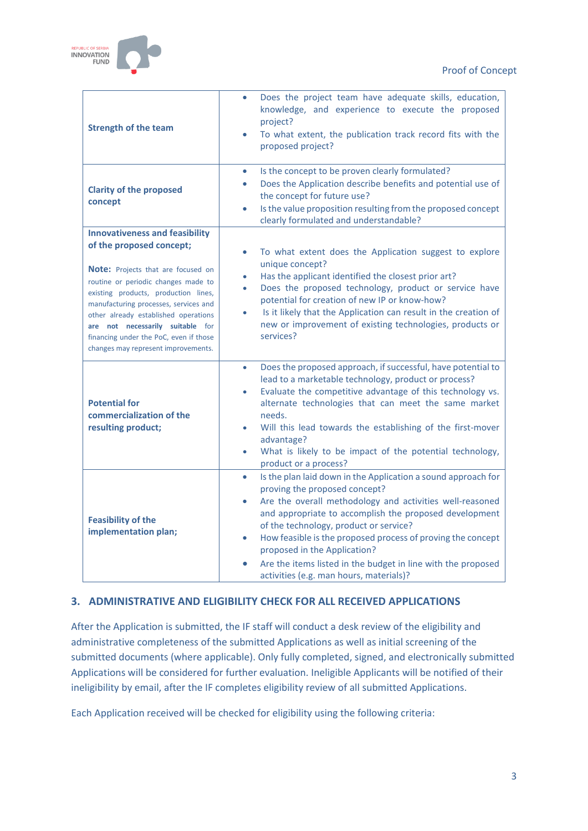

| <b>Strength of the team</b>                                                                                                                                                                                                                                                                                                                                                                         | Does the project team have adequate skills, education,<br>$\bullet$<br>knowledge, and experience to execute the proposed<br>project?<br>To what extent, the publication track record fits with the<br>$\bullet$<br>proposed project?                                                                                                                                                                                                                                                                    |
|-----------------------------------------------------------------------------------------------------------------------------------------------------------------------------------------------------------------------------------------------------------------------------------------------------------------------------------------------------------------------------------------------------|---------------------------------------------------------------------------------------------------------------------------------------------------------------------------------------------------------------------------------------------------------------------------------------------------------------------------------------------------------------------------------------------------------------------------------------------------------------------------------------------------------|
| <b>Clarity of the proposed</b><br>concept                                                                                                                                                                                                                                                                                                                                                           | Is the concept to be proven clearly formulated?<br>$\bullet$<br>Does the Application describe benefits and potential use of<br>٠<br>the concept for future use?<br>Is the value proposition resulting from the proposed concept<br>$\bullet$<br>clearly formulated and understandable?                                                                                                                                                                                                                  |
| <b>Innovativeness and feasibility</b><br>of the proposed concept;<br><b>Note:</b> Projects that are focused on<br>routine or periodic changes made to<br>existing products, production lines,<br>manufacturing processes, services and<br>other already established operations<br>are not necessarily suitable for<br>financing under the PoC, even if those<br>changes may represent improvements. | To what extent does the Application suggest to explore<br>٠<br>unique concept?<br>Has the applicant identified the closest prior art?<br>Does the proposed technology, product or service have<br>٠<br>potential for creation of new IP or know-how?<br>Is it likely that the Application can result in the creation of<br>new or improvement of existing technologies, products or<br>services?                                                                                                        |
| <b>Potential for</b><br>commercialization of the<br>resulting product;                                                                                                                                                                                                                                                                                                                              | Does the proposed approach, if successful, have potential to<br>$\bullet$<br>lead to a marketable technology, product or process?<br>Evaluate the competitive advantage of this technology vs.<br>alternate technologies that can meet the same market<br>needs.<br>Will this lead towards the establishing of the first-mover<br>advantage?<br>What is likely to be impact of the potential technology,<br>product or a process?                                                                       |
| <b>Feasibility of the</b><br>implementation plan;                                                                                                                                                                                                                                                                                                                                                   | Is the plan laid down in the Application a sound approach for<br>٠<br>proving the proposed concept?<br>Are the overall methodology and activities well-reasoned<br>$\bullet$<br>and appropriate to accomplish the proposed development<br>of the technology, product or service?<br>How feasible is the proposed process of proving the concept<br>$\bullet$<br>proposed in the Application?<br>Are the items listed in the budget in line with the proposed<br>activities (e.g. man hours, materials)? |

# **3. ADMINISTRATIVE AND ELIGIBILITY CHECK FOR ALL RECEIVED APPLICATIONS**

After the Application is submitted, the IF staff will conduct a desk review of the eligibility and administrative completeness of the submitted Applications as well as initial screening of the submitted documents (where applicable). Only fully completed, signed, and electronically submitted Applications will be considered for further evaluation. Ineligible Applicants will be notified of their ineligibility by email, after the IF completes eligibility review of all submitted Applications.

Each Application received will be checked for eligibility using the following criteria: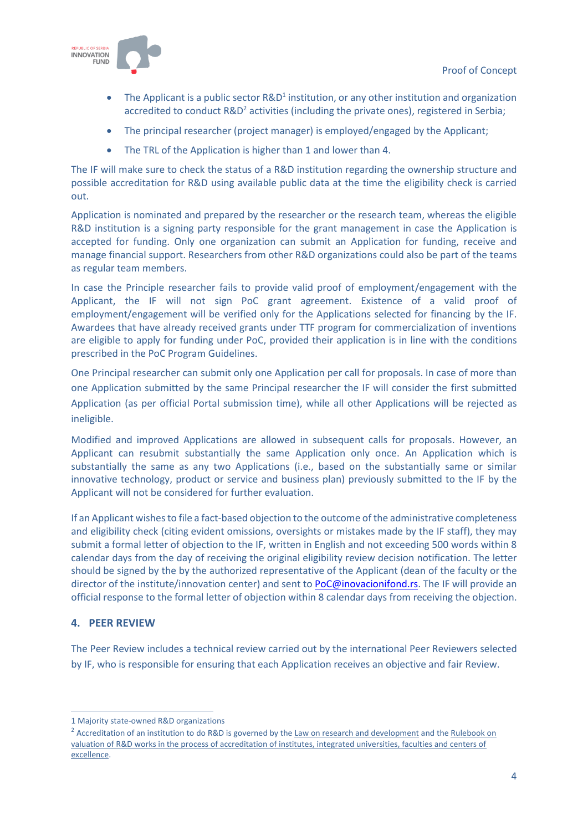

- The Applicant is a public sector  $R&D<sup>1</sup>$  institution, or any other institution and organization accredited to conduct R&D<sup>2</sup> activities (including the private ones), registered in Serbia;
- The principal researcher (project manager) is employed/engaged by the Applicant;
- The TRL of the Application is higher than 1 and lower than 4.

The IF will make sure to check the status of a R&D institution regarding the ownership structure and possible accreditation for R&D using available public data at the time the eligibility check is carried out.

Application is nominated and prepared by the researcher or the research team, whereas the eligible R&D institution is a signing party responsible for the grant management in case the Application is accepted for funding. Only one organization can submit an Application for funding, receive and manage financial support. Researchers from other R&D organizations could also be part of the teams as regular team members.

In case the Principle researcher fails to provide valid proof of employment/engagement with the Applicant, the IF will not sign PoC grant agreement. Existence of a valid proof of employment/engagement will be verified only for the Applications selected for financing by the IF. Awardees that have already received grants under TTF program for commercialization of inventions are eligible to apply for funding under PoC, provided their application is in line with the conditions prescribed in the PoC Program Guidelines.

One Principal researcher can submit only one Application per call for proposals. In case of more than one Application submitted by the same Principal researcher the IF will consider the first submitted Application (as per official Portal submission time), while all other Applications will be rejected as ineligible.

Modified and improved Applications are allowed in subsequent calls for proposals. However, an Applicant can resubmit substantially the same Application only once. An Application which is substantially the same as any two Applications (i.e., based on the substantially same or similar innovative technology, product or service and business plan) previously submitted to the IF by the Applicant will not be considered for further evaluation.

If an Applicant wishes to file a fact-based objection to the outcome of the administrative completeness and eligibility check (citing evident omissions, oversights or mistakes made by the IF staff), they may submit a formal letter of objection to the IF, written in English and not exceeding 500 words within 8 calendar days from the day of receiving the original eligibility review decision notification. The letter should be signed by the by the authorized representative of the Applicant (dean of the faculty or the director of the institute/innovation center) and sent t[o PoC@inovacionifond.rs.](mailto:PoC@inovacionifond.rs) The IF will provide an official response to the formal letter of objection within 8 calendar days from receiving the objection.

# **4. PEER REVIEW**

The Peer Review includes a technical review carried out by the international Peer Reviewers selected by IF, who is responsible for ensuring that each Application receives an objective and fair Review.

<sup>1</sup> Majority state-owned R&D organizations

<sup>&</sup>lt;sup>2</sup> Accreditation of an institution to do R&D is governed by the [Law on research and development](http://www.mpn.gov.rs/wp-content/uploads/2015/09/Zakon-o-NID-iz-Paragrafa-sl-gl.-112-iz-2015-preciscen-tekst.pdf) and the Rulebook on [valuation of R&D works in the process of accreditation of institutes, integrated universities, faculties and centers of](http://www.mpn.gov.rs/dokumenta-i-propisi/zakonski-okvir/)  [excellence.](http://www.mpn.gov.rs/dokumenta-i-propisi/zakonski-okvir/)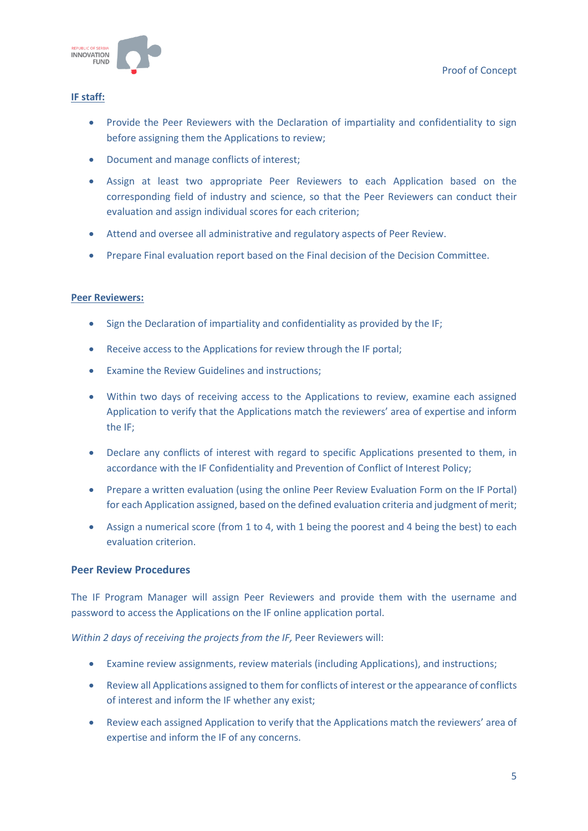

#### **IF staff:**

- Provide the Peer Reviewers with the Declaration of impartiality and confidentiality to sign before assigning them the Applications to review;
- Document and manage conflicts of interest;
- Assign at least two appropriate Peer Reviewers to each Application based on the corresponding field of industry and science, so that the Peer Reviewers can conduct their evaluation and assign individual scores for each criterion;
- Attend and oversee all administrative and regulatory aspects of Peer Review.
- Prepare Final evaluation report based on the Final decision of the Decision Committee.

#### **Peer Reviewers:**

- Sign the Declaration of impartiality and confidentiality as provided by the IF;
- Receive access to the Applications for review through the IF portal;
- Examine the Review Guidelines and instructions;
- Within two days of receiving access to the Applications to review, examine each assigned Application to verify that the Applications match the reviewers' area of expertise and inform the IF;
- Declare any conflicts of interest with regard to specific Applications presented to them, in accordance with the IF Confidentiality and Prevention of Conflict of Interest Policy;
- Prepare a written evaluation (using the online Peer Review Evaluation Form on the IF Portal) for each Application assigned, based on the defined evaluation criteria and judgment of merit;
- Assign a numerical score (from 1 to 4, with 1 being the poorest and 4 being the best) to each evaluation criterion.

#### **Peer Review Procedures**

The IF Program Manager will assign Peer Reviewers and provide them with the username and password to access the Applications on the IF online application portal.

*Within 2 days of receiving the projects from the IF,* Peer Reviewers will:

- Examine review assignments, review materials (including Applications), and instructions;
- Review all Applications assigned to them for conflicts of interest or the appearance of conflicts of interest and inform the IF whether any exist;
- Review each assigned Application to verify that the Applications match the reviewers' area of expertise and inform the IF of any concerns.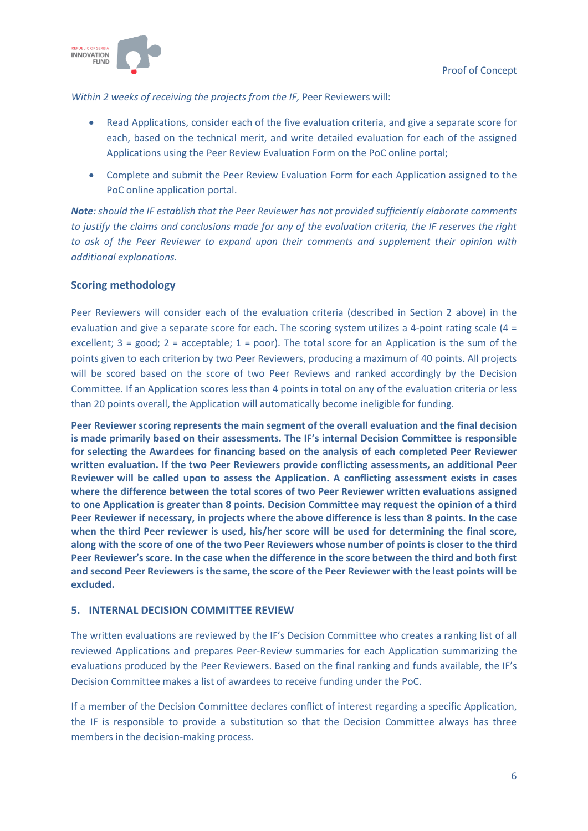

#### *Within 2 weeks of receiving the projects from the IF,* Peer Reviewers will:

- Read Applications, consider each of the five evaluation criteria, and give a separate score for each, based on the technical merit, and write detailed evaluation for each of the assigned Applications using the Peer Review Evaluation Form on the PoC online portal;
- Complete and submit the Peer Review Evaluation Form for each Application assigned to the PoC online application portal.

*Note: should the IF establish that the Peer Reviewer has not provided sufficiently elaborate comments to justify the claims and conclusions made for any of the evaluation criteria, the IF reserves the right to ask of the Peer Reviewer to expand upon their comments and supplement their opinion with additional explanations.* 

#### **Scoring methodology**

Peer Reviewers will consider each of the evaluation criteria (described in Section 2 above) in the evaluation and give a separate score for each. The scoring system utilizes a 4-point rating scale (4 = excellent;  $3 = good$ ;  $2 = acceptable$ ;  $1 = poor$ ). The total score for an Application is the sum of the points given to each criterion by two Peer Reviewers, producing a maximum of 40 points. All projects will be scored based on the score of two Peer Reviews and ranked accordingly by the Decision Committee. If an Application scores less than 4 points in total on any of the evaluation criteria or less than 20 points overall, the Application will automatically become ineligible for funding.

**Peer Reviewer scoring represents the main segment of the overall evaluation and the final decision is made primarily based on their assessments. The IF's internal Decision Committee is responsible for selecting the Awardees for financing based on the analysis of each completed Peer Reviewer written evaluation. If the two Peer Reviewers provide conflicting assessments, an additional Peer Reviewer will be called upon to assess the Application. A conflicting assessment exists in cases where the difference between the total scores of two Peer Reviewer written evaluations assigned to one Application is greater than 8 points. Decision Committee may request the opinion of a third Peer Reviewer if necessary, in projects where the above difference is less than 8 points. In the case when the third Peer reviewer is used, his/her score will be used for determining the final score, along with the score of one of the two Peer Reviewers whose number of points is closer to the third Peer Reviewer's score. In the case when the difference in the score between the third and both first and second Peer Reviewers is the same, the score of the Peer Reviewer with the least points will be excluded.**

#### **5. INTERNAL DECISION COMMITTEE REVIEW**

The written evaluations are reviewed by the IF's Decision Committee who creates a ranking list of all reviewed Applications and prepares Peer-Review summaries for each Application summarizing the evaluations produced by the Peer Reviewers. Based on the final ranking and funds available, the IF's Decision Committee makes a list of awardees to receive funding under the PoC.

If a member of the Decision Committee declares conflict of interest regarding a specific Application, the IF is responsible to provide a substitution so that the Decision Committee always has three members in the decision-making process.